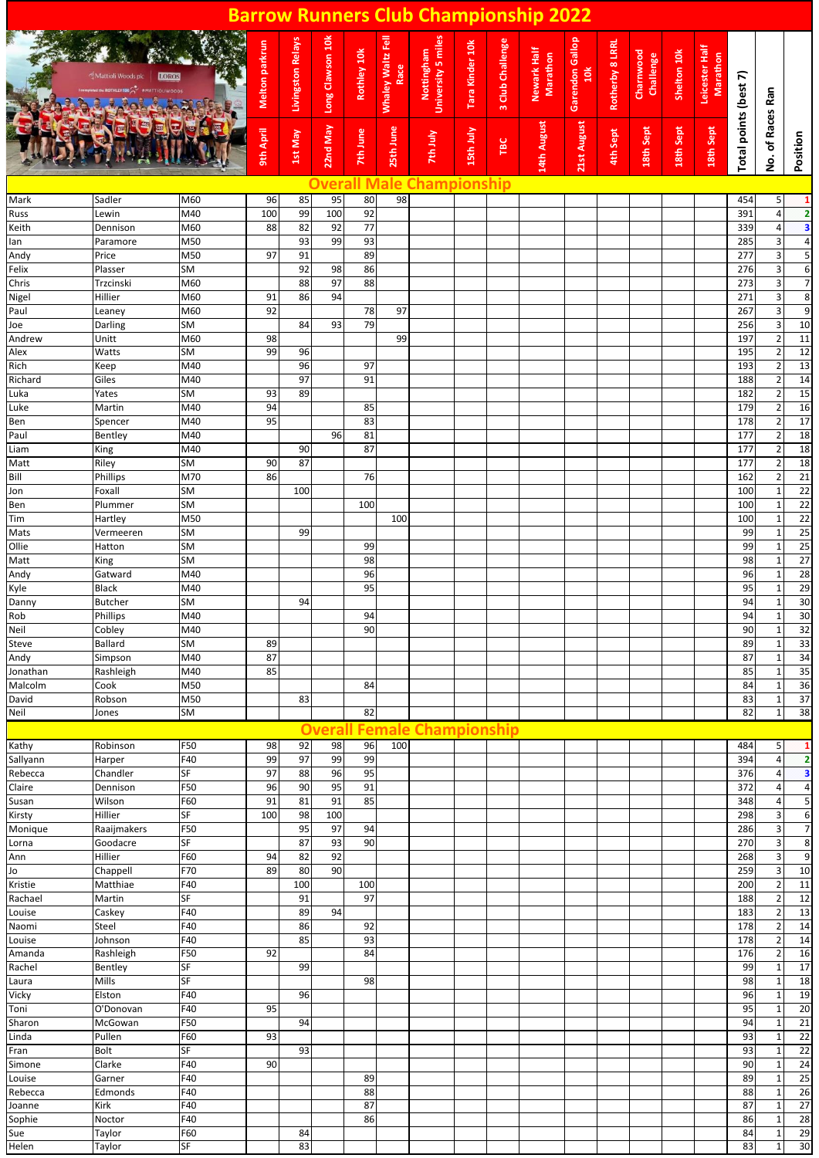|                    |                                    |                        |                |                          |                  |             |                           | <b>Barrow Runners Club Championship 2022</b> |                 |                  |                         |                        |                 |                        |             |                            |                       |                                  |                                               |
|--------------------|------------------------------------|------------------------|----------------|--------------------------|------------------|-------------|---------------------------|----------------------------------------------|-----------------|------------------|-------------------------|------------------------|-----------------|------------------------|-------------|----------------------------|-----------------------|----------------------------------|-----------------------------------------------|
|                    | Mattioli Woods plo<br><b>LOROS</b> |                        | Melton parkrun | <b>Livingston Relays</b> | Long Clawson 10k | Rothley 10k | Whaley Waltz Fell<br>Race | <b>University 5 miles</b><br>Nottingham      | Tara Kinder 10k | 3 Club Challenge | Newark Half<br>Marathon | Garendon Gallop<br>10k | Rotherby 8 LRRL | Charnwood<br>Challenge | Shelton 10k | Leicester Half<br>Marathon | Total points (best 7) |                                  |                                               |
|                    |                                    |                        | 9th April      | 1st May                  | 22nd May         | 7th June    | 25th June                 | 7th July                                     | 15th July       | TBC              | 14th August             | 21st August            | 4th Sept        | 18th Sept              | 18th Sept   | 18th Sept                  |                       | No. of Races Ran                 | Position                                      |
|                    |                                    |                        |                |                          | Overa            | l N         | le                        | hampionship                                  |                 |                  |                         |                        |                 |                        |             |                            |                       |                                  |                                               |
| Mark<br>Russ       | Sadler<br>Lewin                    | M60<br>M40             | 96<br>100      | 85<br>99                 | 95<br>100        | 80<br>92    | 98                        |                                              |                 |                  |                         |                        |                 |                        |             |                            | 454<br>391            | 5<br>$\overline{4}$              | $\mathbf{1}$<br>$\overline{\mathbf{2}}$       |
| Keith              | Dennison                           | M60                    | 88             | 82                       | 92               | 77          |                           |                                              |                 |                  |                         |                        |                 |                        |             |                            | 339                   | 4                                | 3                                             |
| lan                | Paramore                           | M50                    |                | 93                       | 99               | 93          |                           |                                              |                 |                  |                         |                        |                 |                        |             |                            | 285                   | $\overline{\mathbf{3}}$          | $\overline{\mathbf{r}}$                       |
| Andy               | Price                              | M50                    | 97             | 91                       |                  | 89          |                           |                                              |                 |                  |                         |                        |                 |                        |             |                            | 277                   | $\overline{\mathbf{3}}$          | 5                                             |
| Felix<br>Chris     | Plasser<br>Trzcinski               | <b>SM</b><br>M60       |                | 92<br>88                 | 98<br>97         | 86<br>88    |                           |                                              |                 |                  |                         |                        |                 |                        |             |                            | 276<br>273            | 3<br>3                           | $\overline{6}$<br>$\overline{7}$              |
| Nigel              | Hillier                            | M60                    | 91             | 86                       | 94               |             |                           |                                              |                 |                  |                         |                        |                 |                        |             |                            | 271                   | $\mathbf{3}$                     | 8                                             |
| Paul               | Leaney                             | M60                    | 92             |                          |                  | 78          | 97                        |                                              |                 |                  |                         |                        |                 |                        |             |                            | 267                   | $\overline{3}$                   | 9                                             |
| Joe                | Darling                            | <b>SM</b>              |                | 84                       | 93               | 79          |                           |                                              |                 |                  |                         |                        |                 |                        |             |                            | 256                   | 3                                | 10                                            |
| Andrew             | Unitt<br>Watts                     | M60<br><b>SM</b>       | 98             |                          |                  |             | 99                        |                                              |                 |                  |                         |                        |                 |                        |             |                            | 197<br>195            | $\overline{2}$                   | $\overline{11}$<br>12                         |
| Alex<br>Rich       | Keep                               | M40                    | 99             | 96<br>96                 |                  | 97          |                           |                                              |                 |                  |                         |                        |                 |                        |             |                            | 193                   | $\overline{2}$<br>$\overline{2}$ | 13                                            |
| Richard            | Giles                              | M40                    |                | 97                       |                  | 91          |                           |                                              |                 |                  |                         |                        |                 |                        |             |                            | 188                   | $\overline{2}$                   |                                               |
| Luka               | Yates                              | <b>SM</b>              | 93             | 89                       |                  |             |                           |                                              |                 |                  |                         |                        |                 |                        |             |                            | 182                   | $\overline{2}$                   | $\frac{14}{15}$                               |
| Luke               | Martin                             | M40                    | 94             |                          |                  | 85          |                           |                                              |                 |                  |                         |                        |                 |                        |             |                            | 179                   | $\overline{2}$                   | 16                                            |
| Ben<br>Paul        | Spencer<br>Bentley                 | M40<br>M40             | 95             |                          | 96               | 83<br>81    |                           |                                              |                 |                  |                         |                        |                 |                        |             |                            | 178<br>177            | $\overline{2}$<br>$\overline{2}$ | $\frac{17}{18}$                               |
| Liam               | King                               | M40                    |                | 90                       |                  | 87          |                           |                                              |                 |                  |                         |                        |                 |                        |             |                            | 177                   | $\overline{2}$                   |                                               |
| Matt               | Riley                              | <b>SM</b>              | 90             | 87                       |                  |             |                           |                                              |                 |                  |                         |                        |                 |                        |             |                            | 177                   | $\overline{2}$                   | $\begin{array}{c} 18 \\ 18 \\ 21 \end{array}$ |
| Bill               | Phillips                           | M70                    | 86             |                          |                  | 76          |                           |                                              |                 |                  |                         |                        |                 |                        |             |                            | 162                   | $\overline{2}$                   |                                               |
| Jon<br>Ben         | Foxall<br>Plummer                  | <b>SM</b><br><b>SM</b> |                | 100                      |                  | 100         |                           |                                              |                 |                  |                         |                        |                 |                        |             |                            | 100<br>100            | $\mathbf{1}$<br>$\mathbf{1}$     | 22                                            |
| Tim                | Hartley                            | M50                    |                |                          |                  |             | 100                       |                                              |                 |                  |                         |                        |                 |                        |             |                            | 100                   | $\mathbf{1}$                     | $\frac{22}{22}$                               |
| Mats               | Vermeeren                          | <b>SM</b>              |                | 99                       |                  |             |                           |                                              |                 |                  |                         |                        |                 |                        |             |                            | 99                    | $\mathbf{1}$                     | 25                                            |
| Ollie              | Hatton                             | <b>SM</b>              |                |                          |                  | 99          |                           |                                              |                 |                  |                         |                        |                 |                        |             |                            | 99                    | $\mathbf{1}$                     | 25                                            |
| Matt               | King                               | <b>SM</b><br>M40       |                |                          |                  | 98<br>96    |                           |                                              |                 |                  |                         |                        |                 |                        |             |                            | 98<br>96              | $\mathbf{1}$                     | $\begin{array}{r} 27 \\ 28 \\ 29 \end{array}$ |
| Andy<br>Kyle       | Gatward<br><b>Black</b>            | M40                    |                |                          |                  | 95          |                           |                                              |                 |                  |                         |                        |                 |                        |             |                            | 95                    | $\mathbf{1}$<br>$\mathbf{1}$     |                                               |
| Danny              | Butcher                            | SM                     |                | 94                       |                  |             |                           |                                              |                 |                  |                         |                        |                 |                        |             |                            | 94                    | $\mathbf{1}$                     | $\frac{30}{30}$                               |
| Rob                | Phillips                           | M40                    |                |                          |                  | 94          |                           |                                              |                 |                  |                         |                        |                 |                        |             |                            | 94                    | $\mathbf{1}$                     |                                               |
| Neil               | Cobley                             | M40                    |                |                          |                  | 90          |                           |                                              |                 |                  |                         |                        |                 |                        |             |                            | 90                    | 1                                | 32                                            |
| Steve<br>Andy      | Ballard<br>Simpson                 | SM<br>M40              | 89<br>87       |                          |                  |             |                           |                                              |                 |                  |                         |                        |                 |                        |             |                            | 89<br>87              | $\mathbf{1}$<br>$\mathbf{1}$     | 33<br>34                                      |
| Jonathan           | Rashleigh                          | M40                    | 85             |                          |                  |             |                           |                                              |                 |                  |                         |                        |                 |                        |             |                            | 85                    | $\mathbf{1}$                     | 35                                            |
| Malcolm            | Cook                               | M50                    |                |                          |                  | 84          |                           |                                              |                 |                  |                         |                        |                 |                        |             |                            | 84                    | 1                                | 36                                            |
| David              | Robson                             | M50                    |                | 83                       |                  |             |                           |                                              |                 |                  |                         |                        |                 |                        |             |                            | 83                    | $\mathbf{1}$                     | 37                                            |
| Neil               | Jones                              | SM                     |                |                          |                  | 82          |                           |                                              |                 |                  |                         |                        |                 |                        |             |                            | 82                    | $\mathbf{1}$                     | 38                                            |
|                    |                                    |                        |                |                          | <b>Overall</b>   |             |                           | <b>Female Championship</b>                   |                 |                  |                         |                        |                 |                        |             |                            |                       |                                  |                                               |
| Kathy<br>Sallyann  | Robinson<br>Harper                 | F50<br>F40             | 98<br>99       | 92<br>97                 | 98<br>99         | 96<br>99    | 100                       |                                              |                 |                  |                         |                        |                 |                        |             |                            | 484<br>394            | 5<br>4                           | 1<br>$\overline{2}$                           |
| Rebecca            | Chandler                           | SF                     | 97             | 88                       | 96               | 95          |                           |                                              |                 |                  |                         |                        |                 |                        |             |                            | 376                   | 4                                | $\overline{\mathbf{3}}$                       |
| Claire             | Dennison                           | F50                    | 96             | 90                       | 95               | 91          |                           |                                              |                 |                  |                         |                        |                 |                        |             |                            | 372                   | 4                                | $\overline{4}$                                |
| Susan              | Wilson                             | F60                    | 91             | 81                       | 91               | 85          |                           |                                              |                 |                  |                         |                        |                 |                        |             |                            | 348                   | 4                                | 5                                             |
| Kirsty<br>Monique  | Hillier<br>Raaijmakers             | SF<br>F50              | 100            | 98<br>95                 | 100<br>97        | 94          |                           |                                              |                 |                  |                         |                        |                 |                        |             |                            | 298<br>286            | 3<br>3                           | 6<br>$\overline{7}$                           |
| Lorna              | Goodacre                           | SF                     |                | 87                       | 93               | 90          |                           |                                              |                 |                  |                         |                        |                 |                        |             |                            | 270                   | 3                                | 8                                             |
| Ann                | Hillier                            | F60                    | 94             | 82                       | 92               |             |                           |                                              |                 |                  |                         |                        |                 |                        |             |                            | 268                   | 3                                | 9                                             |
| Jo                 | Chappell                           | F70                    | 89             | 80                       | 90               |             |                           |                                              |                 |                  |                         |                        |                 |                        |             |                            | 259                   | 3                                | 10                                            |
| Kristie<br>Rachael | Matthiae<br>Martin                 | F40<br>SF              |                | 100<br>91                |                  | 100<br>97   |                           |                                              |                 |                  |                         |                        |                 |                        |             |                            | 200<br>188            | $\overline{2}$<br>$\overline{2}$ | 11<br>12                                      |
| Louise             | Caskey                             | F40                    |                | 89                       | 94               |             |                           |                                              |                 |                  |                         |                        |                 |                        |             |                            | 183                   | $\overline{2}$                   | 13                                            |
| Naomi              | Steel                              | F40                    |                | 86                       |                  | 92          |                           |                                              |                 |                  |                         |                        |                 |                        |             |                            | 178                   | $\overline{2}$                   | 14                                            |
| Louise             | Johnson                            | F40                    |                | 85                       |                  | 93          |                           |                                              |                 |                  |                         |                        |                 |                        |             |                            | 178                   | $\overline{2}$                   | 14                                            |
| Amanda             | Rashleigh                          | F50                    | 92             |                          |                  | 84          |                           |                                              |                 |                  |                         |                        |                 |                        |             |                            | 176                   | $\overline{2}$                   | 16                                            |
| Rachel<br>Laura    | Bentley<br>Mills                   | SF<br>SF               |                | 99                       |                  | 98          |                           |                                              |                 |                  |                         |                        |                 |                        |             |                            | 99<br>98              | $\mathbf{1}$<br>$\mathbf{1}$     | 17<br>18                                      |
| Vicky              | Elston                             | F40                    |                | 96                       |                  |             |                           |                                              |                 |                  |                         |                        |                 |                        |             |                            | 96                    | $\mathbf{1}$                     | 19                                            |
| Toni               | O'Donovan                          | F40                    | 95             |                          |                  |             |                           |                                              |                 |                  |                         |                        |                 |                        |             |                            | 95                    | $\mathbf{1}$                     | 20                                            |
| Sharon             | McGowan                            | F50                    |                | 94                       |                  |             |                           |                                              |                 |                  |                         |                        |                 |                        |             |                            | 94                    | $\mathbf{1}$                     | $\overline{21}$                               |
| Linda<br>Fran      | Pullen<br>Bolt                     | F60<br>SF              | 93             | 93                       |                  |             |                           |                                              |                 |                  |                         |                        |                 |                        |             |                            | 93<br>93              | $\mathbf{1}$<br>$\mathbf{1}$     | 22<br>22                                      |
| Simone             | Clarke                             | F40                    | 90             |                          |                  |             |                           |                                              |                 |                  |                         |                        |                 |                        |             |                            | 90                    | 1                                | 24                                            |
| Louise             | Garner                             | F40                    |                |                          |                  | 89          |                           |                                              |                 |                  |                         |                        |                 |                        |             |                            | 89                    | $\mathbf{1}$                     | $\overline{25}$                               |
| Rebecca            | Edmonds                            | F40                    |                |                          |                  | 88          |                           |                                              |                 |                  |                         |                        |                 |                        |             |                            | 88                    | $\mathbf{1}$                     | $\overline{26}$                               |
| Joanne<br>Sophie   | Kirk<br>Noctor                     | F40<br>F40             |                |                          |                  | 87<br>86    |                           |                                              |                 |                  |                         |                        |                 |                        |             |                            | 87<br>86              | $\mathbf{1}$<br>$\mathbf{1}$     | $\overline{27}$<br>$\overline{28}$            |
| Sue                | Taylor                             | F60                    |                | 84                       |                  |             |                           |                                              |                 |                  |                         |                        |                 |                        |             |                            | 84                    | $\mathbf{1}$                     | 29                                            |
| Helen              | Taylor                             | <b>SF</b>              |                | 83                       |                  |             |                           |                                              |                 |                  |                         |                        |                 |                        |             |                            | 83                    | $\mathbf{1}$                     | 30                                            |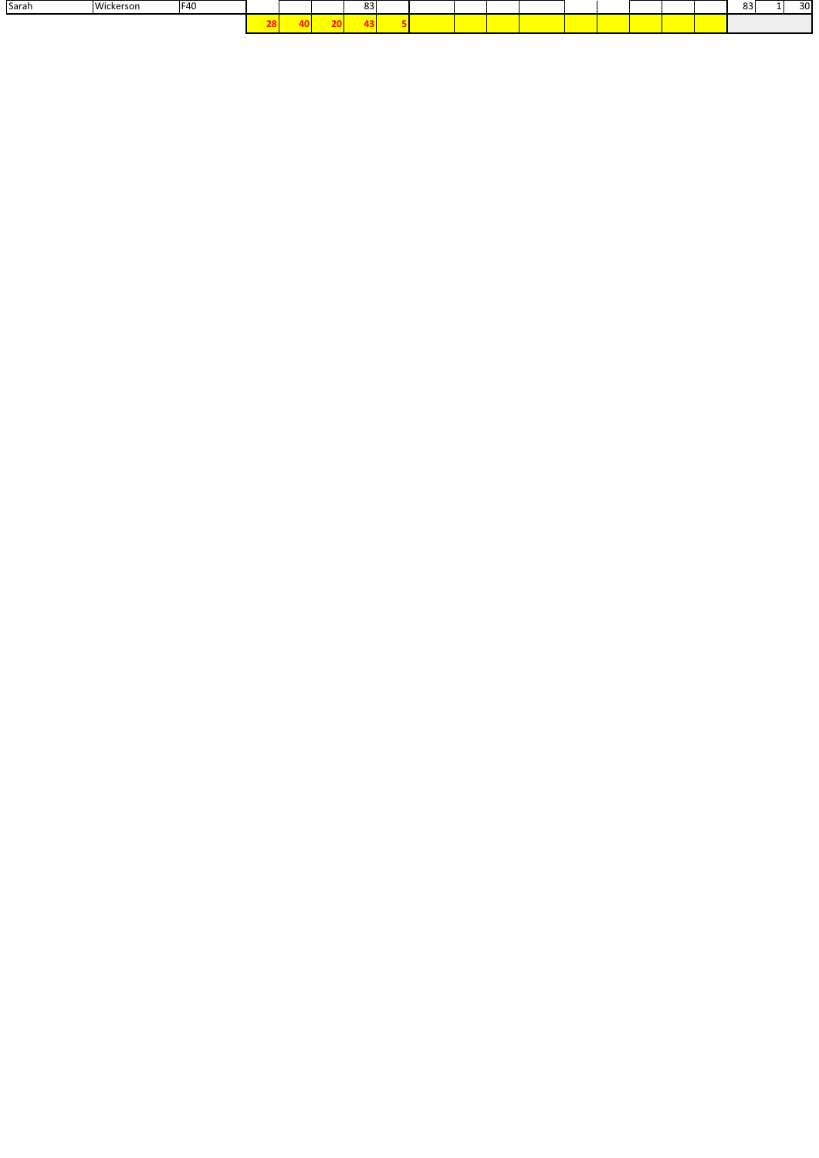| Sarah | <b>Wid</b><br>ckerson | IF40 |  | $\sim$<br>၀၁ |  |  |  |  |  | o.<br>൦ | 30 |
|-------|-----------------------|------|--|--------------|--|--|--|--|--|---------|----|
|       |                       |      |  |              |  |  |  |  |  |         |    |